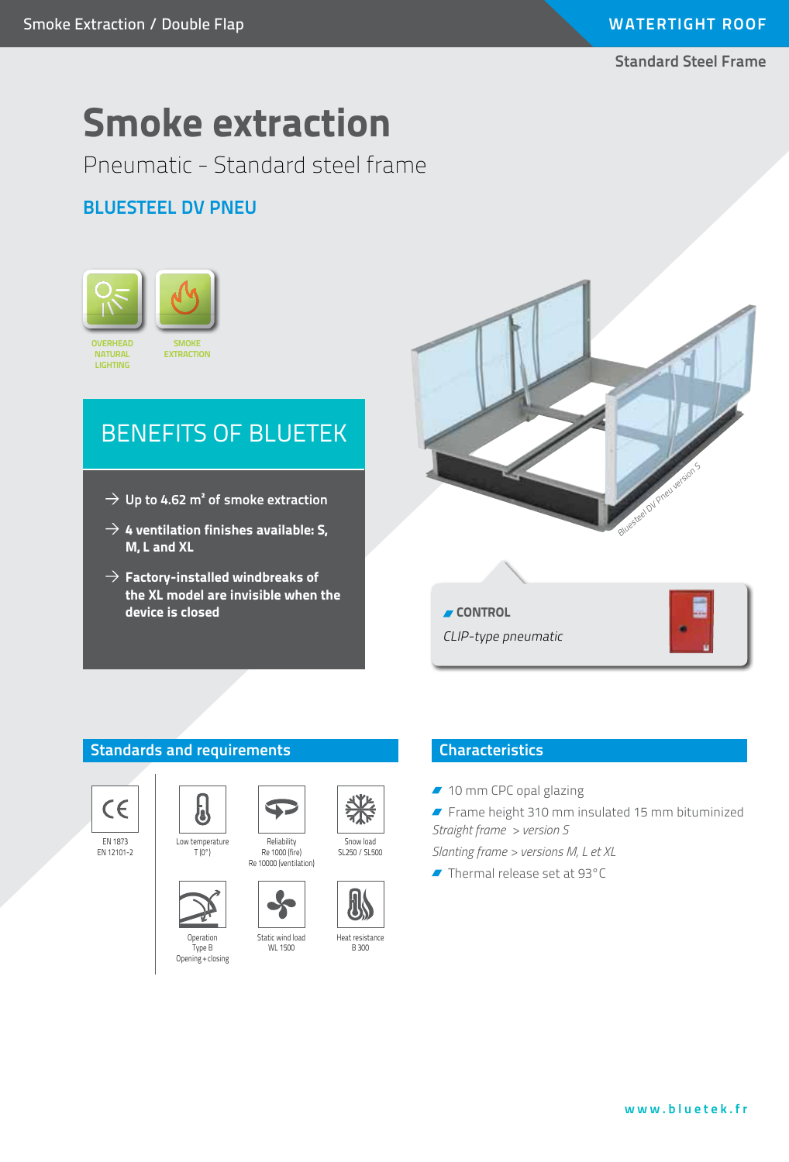### **Standard Steel Frame**

# **Smoke extraction**

Pneumatic - Standard steel frame

## **Bluesteel DV PNEU**



## BENEFITS OF BLUETEK

- $\rightarrow$  Up to 4.62 m<sup>2</sup> of smoke extraction
- $\rightarrow$  4 ventilation finishes available: S, **M, L and XL**
- $\rightarrow$  Factory-installed windbreaks of **the XL model are invisible when the device is closed**



#### **Standards and requirements**



EN 1873 EN 12101-2



Low temperature  $T(0^{\circ})$ 

5

**Operation** Type B Opening + closing



Reliability Re 1000 (fire)

B 300

#### **Characteristics**

- 10 mm CPC opal glazing
- Frame height 310 mm insulated 15 mm bituminized *Straight frame > version S*

*Slanting frame > versions M, L et XL*

Thermal release set at 93°C





Snow load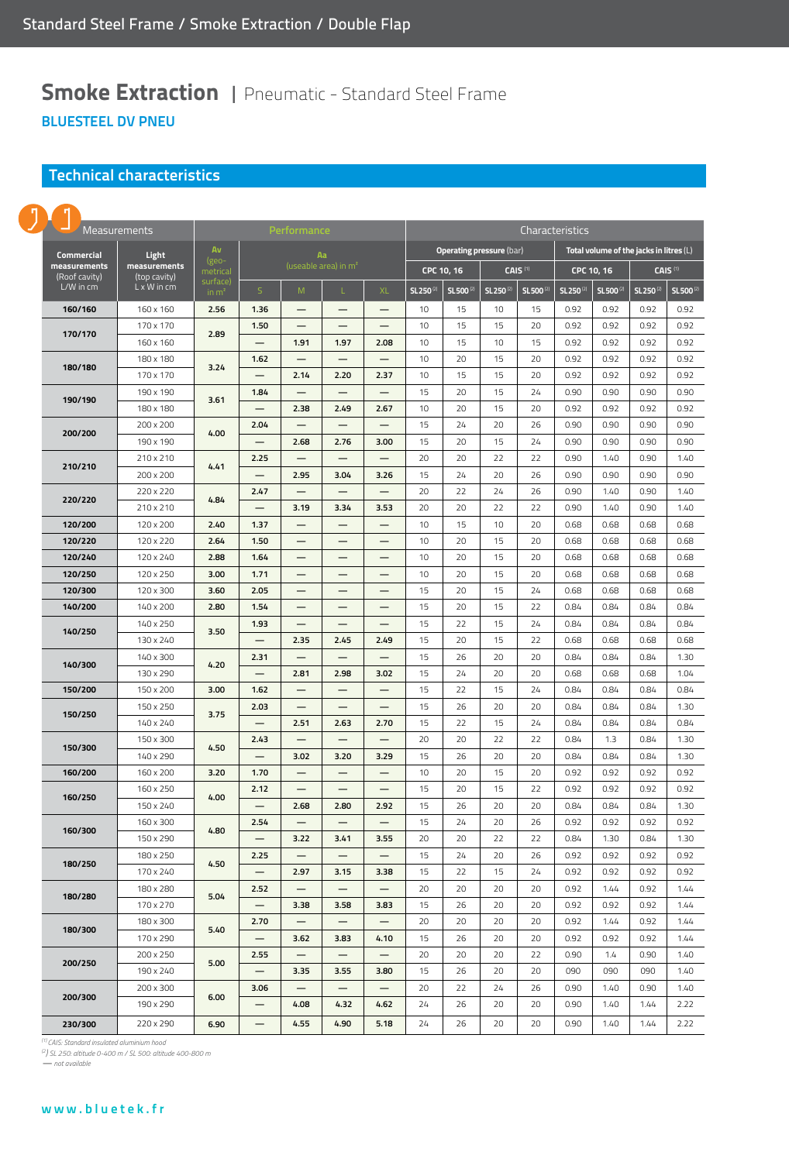### **Smoke Extraction | Pneumatic - Standard Steel Frame BluesteEL DV PNEU**

#### **Technical characteristics**

|                            | ŋ                             |                              |                               |                                  |                          |                          |                          |                                 |                       |                       |                                           |                       |                      |                       |                      |  |
|----------------------------|-------------------------------|------------------------------|-------------------------------|----------------------------------|--------------------------|--------------------------|--------------------------|---------------------------------|-----------------------|-----------------------|-------------------------------------------|-----------------------|----------------------|-----------------------|----------------------|--|
| Measurements               |                               |                              | Performance                   |                                  |                          |                          |                          | Characteristics                 |                       |                       |                                           |                       |                      |                       |                      |  |
| <b>Commercial</b><br>Light |                               |                              | Av                            | Aa                               |                          |                          |                          | <b>Operating pressure (bar)</b> |                       |                       | Total volume of the jacks in litres $(L)$ |                       |                      |                       |                      |  |
|                            | measurements<br>(Roof cavity) | measurements<br>(top cavity) | (geo-<br>metrical             | (useable area) in m <sup>2</sup> |                          |                          | CPC 10, 16               |                                 | CAIS <sup>(1)</sup>   |                       | CAIS <sup>(1)</sup><br>CPC 10, 16         |                       |                      |                       |                      |  |
|                            | L/W in cm                     | L x W in cm                  | surface)<br>in m <sup>2</sup> | $\mathsf{S}$                     | M                        | L                        | <b>XL</b>                | SL 250 <sup>(2)</sup>           | SL 500 <sup>(2)</sup> | SL 250 <sup>(2)</sup> | SL500 <sup>(2)</sup>                      | SL 250 <sup>(2)</sup> | SL500 <sup>(2)</sup> | SL 250 <sup>(2)</sup> | SL500 <sup>(2)</sup> |  |
|                            | 160/160                       | 160 x 160                    | 2.56                          | 1.36                             |                          |                          |                          | 10                              | 15                    | 10                    | 15                                        | 0.92                  | 0.92                 | 0.92                  | 0.92                 |  |
|                            | 170/170                       | 170 x 170                    | 2.89                          | 1.50                             |                          |                          |                          | 10                              | 15                    | 15                    | 20                                        | 0.92                  | 0.92                 | 0.92                  | 0.92                 |  |
|                            |                               | 160 x 160                    |                               |                                  | 1.91                     | 1.97                     | 2.08                     | 10                              | 15                    | 10                    | 15                                        | 0.92                  | 0.92                 | 0.92                  | 0.92                 |  |
|                            | 180/180                       | 180 x 180                    | 3.24                          | 1.62                             | —                        | —                        | —                        | 10                              | 20                    | 15                    | 20                                        | 0.92                  | 0.92                 | 0.92                  | 0.92                 |  |
|                            |                               | 170 x 170                    |                               |                                  | 2.14                     | 2.20                     | 2.37                     | 10                              | 15                    | 15                    | 20                                        | 0.92                  | 0.92                 | 0.92                  | 0.92                 |  |
|                            | 190/190                       | 190 x 190                    | 3.61                          | 1.84                             | $\overline{\phantom{0}}$ | $\overline{\phantom{0}}$ |                          | 15                              | 20                    | 15                    | 24                                        | 0.90                  | 0.90                 | 0.90                  | 0.90                 |  |
|                            |                               | 180 x 180                    |                               |                                  | 2.38                     | 2.49                     | 2.67                     | 10                              | 20                    | 15                    | 20                                        | 0.92                  | 0.92                 | 0.92                  | 0.92                 |  |
|                            | 200/200                       | 200 x 200                    | 4.00                          | 2.04                             |                          | -                        |                          | 15                              | 24                    | 20                    | 26                                        | 0.90                  | 0.90                 | 0.90                  | 0.90                 |  |
|                            |                               | 190 x 190                    |                               |                                  | 2.68                     | 2.76                     | 3.00                     | 15                              | 20                    | 15                    | 24                                        | 0.90                  | 0.90                 | 0.90                  | 0.90                 |  |
|                            | 210/210                       | 210 x 210                    | 4.41                          | 2.25                             |                          | -                        |                          | 20                              | 20                    | 22                    | 22                                        | 0.90                  | 1.40                 | 0.90                  | 1.40                 |  |
|                            |                               | 200 x 200                    |                               |                                  | 2.95                     | 3.04                     | 3.26                     | 15                              | 24                    | 20                    | 26                                        | 0.90                  | 0.90                 | 0.90                  | 0.90                 |  |
|                            | 220/220                       | 220 x 220                    | 4.84                          | 2.47                             | $\overline{\phantom{0}}$ |                          |                          | 20                              | 22                    | 24                    | 26                                        | 0.90                  | 1.40                 | 0.90                  | 1.40                 |  |
|                            |                               | 210 x 210                    |                               |                                  | 3.19                     | 3.34                     | 3.53                     | 20                              | 20                    | 22                    | 22                                        | 0.90                  | 1.40                 | 0.90                  | 1.40                 |  |
|                            | 120/200                       | 120 x 200                    | 2.40                          | 1.37                             |                          |                          |                          | 10                              | 15                    | 10                    | 20                                        | 0.68                  | 0.68                 | 0.68                  | 0.68                 |  |
|                            | 120/220                       | 120 x 220                    | 2.64                          | 1.50                             |                          |                          |                          | 10                              | 20                    | 15                    | 20                                        | 0.68                  | 0.68                 | 0.68                  | 0.68                 |  |
|                            | 120/240                       | 120 x 240                    | 2.88                          | 1.64                             |                          |                          |                          | 10                              | 20                    | 15                    | 20                                        | 0.68                  | 0.68                 | 0.68                  | 0.68                 |  |
|                            | 120/250                       | 120 x 250                    | 3.00                          | 1.71                             |                          | -                        | —                        | 10                              | 20                    | 15                    | 20                                        | 0.68                  | 0.68                 | 0.68                  | 0.68                 |  |
|                            | 120/300                       | 120 x 300                    | 3.60                          | 2.05                             |                          |                          |                          | 15                              | 20                    | 15                    | 24                                        | 0.68                  | 0.68                 | 0.68                  | 0.68                 |  |
|                            | 140/200                       | 140 x 200                    | 2.80                          | 1.54                             |                          |                          |                          | 15                              | 20                    | 15                    | 22                                        | 0.84                  | 0.84                 | 0.84                  | 0.84                 |  |
|                            | 140/250                       | 140 x 250                    | 3.50                          | 1.93                             | $\qquad \qquad -$        |                          | $\overline{\phantom{0}}$ | 15                              | 22                    | 15                    | 24                                        | 0.84                  | 0.84                 | 0.84                  | 0.84                 |  |
|                            |                               | 130 x 240                    |                               |                                  | 2.35                     | 2.45                     | 2.49                     | 15                              | 20                    | 15                    | 22                                        | 0.68                  | 0.68                 | 0.68                  | 0.68                 |  |
|                            | 140/300                       | 140 x 300                    | 4.20                          | 2.31                             |                          |                          |                          | 15                              | 26                    | 20                    | 20                                        | 0.84                  | 0.84                 | 0.84                  | 1.30                 |  |
|                            |                               | 130 x 290                    |                               |                                  | 2.81                     | 2.98                     | 3.02                     | 15                              | 24                    | 20                    | 20                                        | 0.68                  | 0.68                 | 0.68                  | 1.04                 |  |
|                            | 150/200                       | 150 x 200                    | 3.00                          | 1.62                             |                          |                          |                          | 15                              | 22                    | 15                    | 24                                        | 0.84                  | 0.84                 | 0.84                  | 0.84                 |  |
|                            | 150/250                       | 150 x 250                    | 3.75<br>4.50                  | 2.03                             |                          |                          |                          | 15                              | 26                    | 20                    | 20                                        | 0.84                  | 0.84                 | 0.84                  | 1.30                 |  |
|                            |                               | 140 x 240                    |                               |                                  | 2.51                     | 2.63                     | 2.70                     | 15                              | 22                    | 15                    | 24                                        | 0.84                  | 0.84                 | 0.84                  | 0.84                 |  |
|                            | 150/300                       | 150 x 300                    |                               | 2.43                             |                          | -                        |                          | 20                              | 20                    | 22                    | 22                                        | 0.84                  | 1.3                  | 0.84                  | 1.30                 |  |
|                            |                               | 140 x 290                    |                               |                                  | 3.02                     | 3.20                     | 3.29                     | 15                              | 26                    | 20                    | 20                                        | 0.84                  | 0.84                 | 0.84                  | 1.30                 |  |
|                            | 160/200                       | 160 x 200                    | 3.20                          | 1.70                             | $\overline{\phantom{0}}$ | —                        | —                        | 10                              | 20                    | 15                    | 20                                        | 0.92                  | 0.92                 | 0.92                  | 0.92                 |  |
|                            | 160/250                       | 160 x 250<br>150 x 240       | 4.00                          | 2.12                             | 2.68                     | —<br>2.80                | —<br>2.92                | 15<br>15                        | 20<br>26              | 15<br>20              | 22<br>20                                  | 0.92<br>0.84          | 0.92<br>0.84         | 0.92<br>0.84          | 0.92<br>1.30         |  |
|                            |                               | 160 x 300                    |                               | 2.54                             |                          | $\overline{\phantom{0}}$ |                          | 15                              | 24                    | 20                    | 26                                        | 0.92                  | 0.92                 | 0.92                  | 0.92                 |  |
|                            | 160/300                       | 150 x 290                    | 4.80                          |                                  | 3.22                     | 3.41                     | 3.55                     | 20                              | 20                    | 22                    | 22                                        | 0.84                  | 1.30                 | 0.84                  | 1.30                 |  |
|                            |                               | 180 x 250                    |                               | 2.25                             |                          |                          |                          | 15                              | 24                    | 20                    | 26                                        | 0.92                  | 0.92                 | 0.92                  | 0.92                 |  |
|                            | 180/250                       | 170 x 240                    | 4.50                          |                                  | 2.97                     | 3.15                     | 3.38                     | 15                              | 22                    | 15                    | 24                                        | 0.92                  | 0.92                 | 0.92                  | 0.92                 |  |
|                            |                               | 180 x 280                    | 5.04                          | 2.52                             |                          | —                        |                          | 20                              | 20                    | 20                    | 20                                        | 0.92                  | 1.44                 | 0.92                  | 1.44                 |  |
|                            | 180/280                       | 170 x 270                    |                               | $\overline{\phantom{m}}$         | 3.38                     | 3.58                     | 3.83                     | 15                              | 26                    | 20                    | 20                                        | 0.92                  | 0.92                 | 0.92                  | 1.44                 |  |
|                            | 180/300                       | 180 x 300                    | 5.40                          | 2.70                             | $\qquad \qquad -$        | $\qquad \qquad -$        | $\qquad \qquad -$        | 20                              | 20                    | 20                    | 20                                        | 0.92                  | 1.44                 | 0.92                  | 1.44                 |  |
|                            |                               | 170 x 290                    |                               | $\qquad \qquad -$                | 3.62                     | 3.83                     | 4.10                     | 15                              | 26                    | 20                    | 20                                        | 0.92                  | 0.92                 | 0.92                  | 1.44                 |  |
|                            |                               | 200 x 250                    |                               | 2.55                             | —                        | —                        | $\qquad \qquad -$        | 20                              | 20                    | 20                    | 22                                        | 0.90                  | 1.4                  | 0.90                  | 1.40                 |  |
|                            | 200/250<br>200/300            | 190 x 240                    | 5.00<br>6.00                  | $\qquad \qquad -$                | 3.35                     | 3.55                     | 3.80                     | 15                              | 26                    | 20                    | 20                                        | 090                   | 090                  | 090                   | 1.40                 |  |
|                            |                               | 200 x 300                    |                               | 3.06                             |                          | —                        |                          | 20                              | 22                    | 24                    | 26                                        | 0.90                  | 1.40                 | 0.90                  | 1.40                 |  |
|                            |                               | 190 x 290                    |                               |                                  | 4.08                     | 4.32                     | 4.62                     | 24                              | 26                    | 20                    | 20                                        | 0.90                  | 1.40                 | 1.44                  | 2.22                 |  |
|                            |                               |                              |                               |                                  |                          |                          |                          |                                 |                       |                       |                                           |                       |                      |                       |                      |  |
|                            | 230/300                       | 220 x 290                    | 6.90                          | $\qquad \qquad -$                | 4.55                     | 4.90                     | 5.18                     | 24                              | 26                    | 20                    | 20                                        | 0.90                  | 1.40                 | 1.44                  | 2.22                 |  |

*(1) CAIS: Standard insulated aluminium hood (2) SL 250: altitude 0-400 m / SL 500: altitude 400-800 m*

— *not available*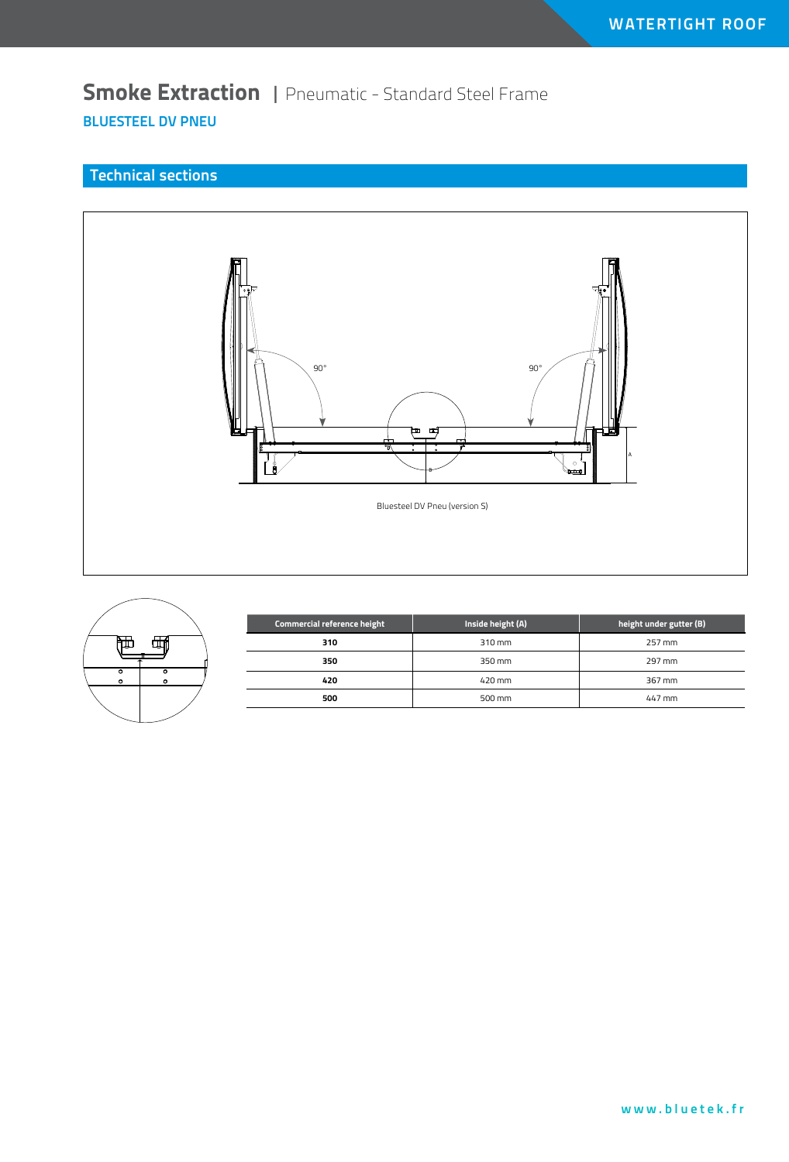## **Smoke Extraction** | Pneumatic - Standard Steel Frame **BluesteEL DV PNEU**

### **Technical sections**





| Commercial reference height | Inside height (A) | height under gutter (B) |
|-----------------------------|-------------------|-------------------------|
| 310                         | 310 mm            | 257 mm                  |
| 350                         | 350 mm            | 297 mm                  |
| 420                         | 420 mm            | 367 mm                  |
| 500                         | 500 mm            | 447 mm                  |